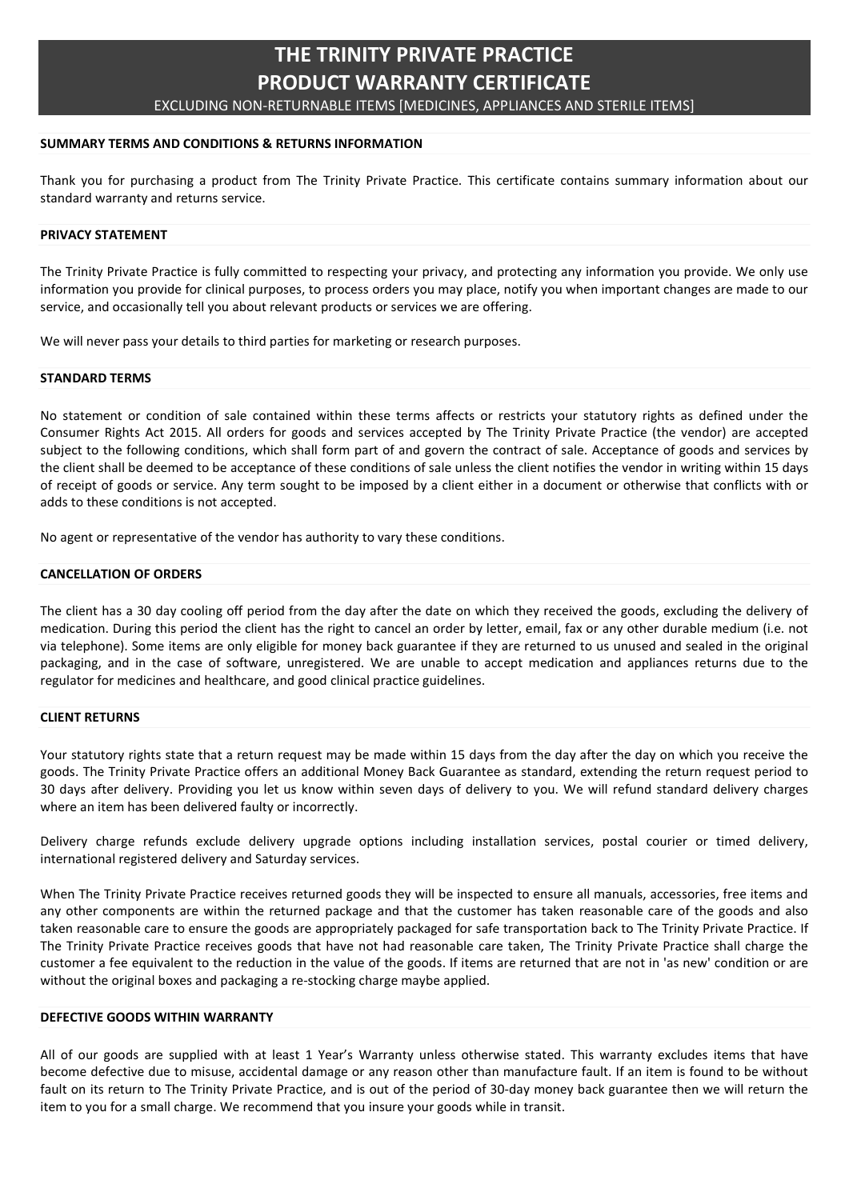# THE TRINITY PRIVATE PRACTICE PRODUCT WARRANTY CERTIFICATE

EXCLUDING NON-RETURNABLE ITEMS [MEDICINES, APPLIANCES AND STERILE ITEMS]

# SUMMARY TERMS AND CONDITIONS & RETURNS INFORMATION

Thank you for purchasing a product from The Trinity Private Practice. This certificate contains summary information about our standard warranty and returns service.

# PRIVACY STATEMENT

The Trinity Private Practice is fully committed to respecting your privacy, and protecting any information you provide. We only use information you provide for clinical purposes, to process orders you may place, notify you when important changes are made to our service, and occasionally tell you about relevant products or services we are offering.

We will never pass your details to third parties for marketing or research purposes.

## STANDARD TERMS

No statement or condition of sale contained within these terms affects or restricts your statutory rights as defined under the Consumer Rights Act 2015. All orders for goods and services accepted by The Trinity Private Practice (the vendor) are accepted subject to the following conditions, which shall form part of and govern the contract of sale. Acceptance of goods and services by the client shall be deemed to be acceptance of these conditions of sale unless the client notifies the vendor in writing within 15 days of receipt of goods or service. Any term sought to be imposed by a client either in a document or otherwise that conflicts with or adds to these conditions is not accepted.

No agent or representative of the vendor has authority to vary these conditions.

# CANCELLATION OF ORDERS

The client has a 30 day cooling off period from the day after the date on which they received the goods, excluding the delivery of medication. During this period the client has the right to cancel an order by letter, email, fax or any other durable medium (i.e. not via telephone). Some items are only eligible for money back guarantee if they are returned to us unused and sealed in the original packaging, and in the case of software, unregistered. We are unable to accept medication and appliances returns due to the regulator for medicines and healthcare, and good clinical practice guidelines.

# CLIENT RETURNS

Your statutory rights state that a return request may be made within 15 days from the day after the day on which you receive the goods. The Trinity Private Practice offers an additional Money Back Guarantee as standard, extending the return request period to 30 days after delivery. Providing you let us know within seven days of delivery to you. We will refund standard delivery charges where an item has been delivered faulty or incorrectly.

Delivery charge refunds exclude delivery upgrade options including installation services, postal courier or timed delivery, international registered delivery and Saturday services.

When The Trinity Private Practice receives returned goods they will be inspected to ensure all manuals, accessories, free items and any other components are within the returned package and that the customer has taken reasonable care of the goods and also taken reasonable care to ensure the goods are appropriately packaged for safe transportation back to The Trinity Private Practice. If The Trinity Private Practice receives goods that have not had reasonable care taken, The Trinity Private Practice shall charge the customer a fee equivalent to the reduction in the value of the goods. If items are returned that are not in 'as new' condition or are without the original boxes and packaging a re-stocking charge maybe applied.

# DEFECTIVE GOODS WITHIN WARRANTY

All of our goods are supplied with at least 1 Year's Warranty unless otherwise stated. This warranty excludes items that have become defective due to misuse, accidental damage or any reason other than manufacture fault. If an item is found to be without fault on its return to The Trinity Private Practice, and is out of the period of 30-day money back guarantee then we will return the item to you for a small charge. We recommend that you insure your goods while in transit.